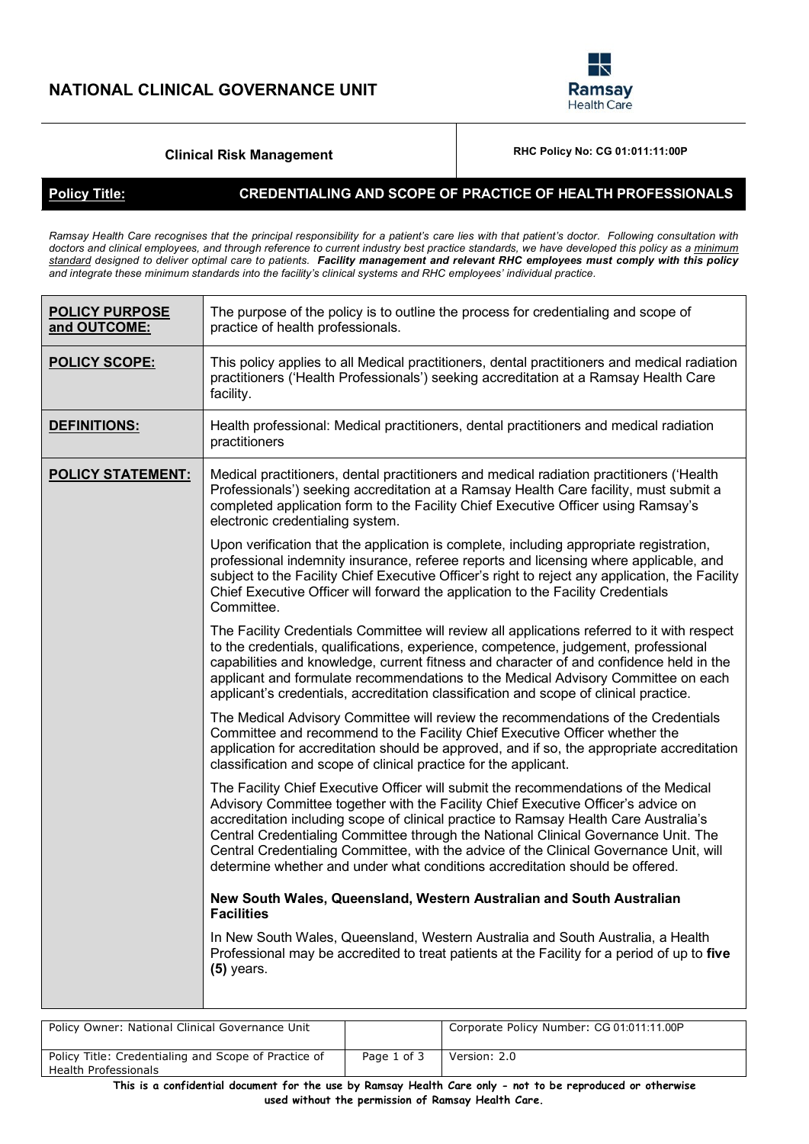

# **Clinical Risk Management RHC Policy No: CG** 01:011:11:00P

### **Policy Title: CREDENTIALING AND SCOPE OF PRACTICE OF HEALTH PROFESSIONALS**

*Ramsay Health Care recognises that the principal responsibility for a patient's care lies with that patient's doctor. Following consultation with doctors and clinical employees, and through reference to current industry best practice standards, we have developed this policy as a minimum standard designed to deliver optimal care to patients. Facility management and relevant RHC employees must comply with this policy and integrate these minimum standards into the facility's clinical systems and RHC employees' individual practice.*

| <b>POLICY PURPOSE</b><br>and OUTCOME: | The purpose of the policy is to outline the process for credentialing and scope of<br>practice of health professionals.                                                                                                                                                                                                                                                                                                                                                                                                          |
|---------------------------------------|----------------------------------------------------------------------------------------------------------------------------------------------------------------------------------------------------------------------------------------------------------------------------------------------------------------------------------------------------------------------------------------------------------------------------------------------------------------------------------------------------------------------------------|
| <b>POLICY SCOPE:</b>                  | This policy applies to all Medical practitioners, dental practitioners and medical radiation<br>practitioners ('Health Professionals') seeking accreditation at a Ramsay Health Care<br>facility.                                                                                                                                                                                                                                                                                                                                |
| DEFINITIONS:                          | Health professional: Medical practitioners, dental practitioners and medical radiation<br>practitioners                                                                                                                                                                                                                                                                                                                                                                                                                          |
| <b>POLICY STATEMENT:</b>              | Medical practitioners, dental practitioners and medical radiation practitioners ('Health<br>Professionals') seeking accreditation at a Ramsay Health Care facility, must submit a<br>completed application form to the Facility Chief Executive Officer using Ramsay's<br>electronic credentialing system.                                                                                                                                                                                                                       |
|                                       | Upon verification that the application is complete, including appropriate registration,<br>professional indemnity insurance, referee reports and licensing where applicable, and<br>subject to the Facility Chief Executive Officer's right to reject any application, the Facility<br>Chief Executive Officer will forward the application to the Facility Credentials<br>Committee.                                                                                                                                            |
|                                       | The Facility Credentials Committee will review all applications referred to it with respect<br>to the credentials, qualifications, experience, competence, judgement, professional<br>capabilities and knowledge, current fitness and character of and confidence held in the<br>applicant and formulate recommendations to the Medical Advisory Committee on each<br>applicant's credentials, accreditation classification and scope of clinical practice.                                                                      |
|                                       | The Medical Advisory Committee will review the recommendations of the Credentials<br>Committee and recommend to the Facility Chief Executive Officer whether the<br>application for accreditation should be approved, and if so, the appropriate accreditation<br>classification and scope of clinical practice for the applicant.                                                                                                                                                                                               |
|                                       | The Facility Chief Executive Officer will submit the recommendations of the Medical<br>Advisory Committee together with the Facility Chief Executive Officer's advice on<br>accreditation including scope of clinical practice to Ramsay Health Care Australia's<br>Central Credentialing Committee through the National Clinical Governance Unit. The<br>Central Credentialing Committee, with the advice of the Clinical Governance Unit, will<br>determine whether and under what conditions accreditation should be offered. |
|                                       | New South Wales, Queensland, Western Australian and South Australian<br><b>Facilities</b>                                                                                                                                                                                                                                                                                                                                                                                                                                        |
|                                       | In New South Wales, Queensland, Western Australia and South Australia, a Health<br>Professional may be accredited to treat patients at the Facility for a period of up to five<br>$(5)$ years.                                                                                                                                                                                                                                                                                                                                   |
|                                       |                                                                                                                                                                                                                                                                                                                                                                                                                                                                                                                                  |

| Policy Owner: National Clinical Governance Unit                              |             | Corporate Policy Number: CG 01:011:11.00P |
|------------------------------------------------------------------------------|-------------|-------------------------------------------|
| Policy Title: Credentialing and Scope of Practice of<br>Health Professionals | Page 1 of 3 | Version: 2.0                              |

**This is a confidential document for the use by Ramsay Health Care only - not to be reproduced or otherwise used without the permission of Ramsay Health Care.**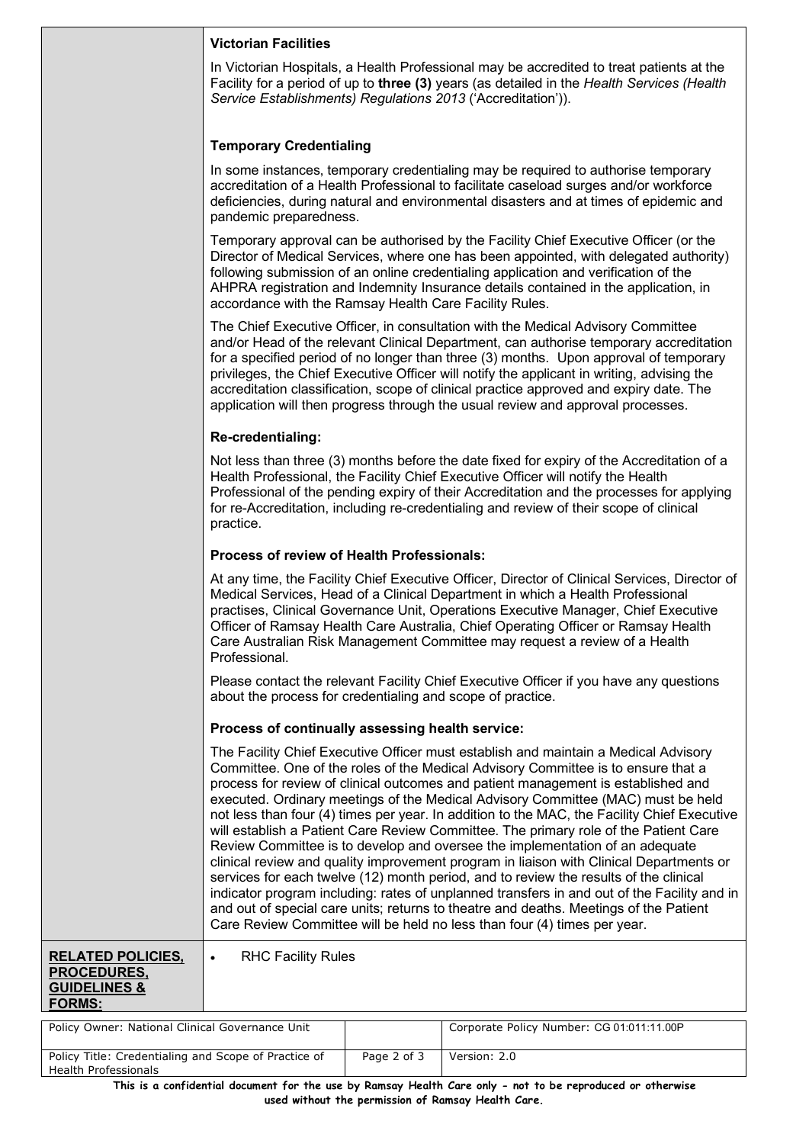| Victorian Facilities |  |
|----------------------|--|
|                      |  |

In Victorian Hospitals, a Health Professional may be accredited to treat patients at the Facility for a period of up to **three (3)** years (as detailed in the *Health Services (Health Service Establishments) Regulations 2013* ('Accreditation')).

## **Temporary Credentialing**

In some instances, temporary credentialing may be required to authorise temporary accreditation of a Health Professional to facilitate caseload surges and/or workforce deficiencies, during natural and environmental disasters and at times of epidemic and pandemic preparedness.

Temporary approval can be authorised by the Facility Chief Executive Officer (or the Director of Medical Services, where one has been appointed, with delegated authority) following submission of an online credentialing application and verification of the AHPRA registration and Indemnity Insurance details contained in the application, in accordance with the Ramsay Health Care Facility Rules.

The Chief Executive Officer, in consultation with the Medical Advisory Committee and/or Head of the relevant Clinical Department, can authorise temporary accreditation for a specified period of no longer than three (3) months. Upon approval of temporary privileges, the Chief Executive Officer will notify the applicant in writing, advising the accreditation classification, scope of clinical practice approved and expiry date. The application will then progress through the usual review and approval processes.

#### **Re-credentialing:**

Not less than three (3) months before the date fixed for expiry of the Accreditation of a Health Professional, the Facility Chief Executive Officer will notify the Health Professional of the pending expiry of their Accreditation and the processes for applying for re-Accreditation, including re-credentialing and review of their scope of clinical practice.

### **Process of review of Health Professionals:**

At any time, the Facility Chief Executive Officer, Director of Clinical Services, Director of Medical Services, Head of a Clinical Department in which a Health Professional practises, Clinical Governance Unit, Operations Executive Manager, Chief Executive Officer of Ramsay Health Care Australia, Chief Operating Officer or Ramsay Health Care Australian Risk Management Committee may request a review of a Health Professional.

Please contact the relevant Facility Chief Executive Officer if you have any questions about the process for credentialing and scope of practice.

#### **Process of continually assessing health service:**

**RHC Facility Rules** 

The Facility Chief Executive Officer must establish and maintain a Medical Advisory Committee. One of the roles of the Medical Advisory Committee is to ensure that a process for review of clinical outcomes and patient management is established and executed. Ordinary meetings of the Medical Advisory Committee (MAC) must be held not less than four (4) times per year. In addition to the MAC, the Facility Chief Executive will establish a Patient Care Review Committee. The primary role of the Patient Care Review Committee is to develop and oversee the implementation of an adequate clinical review and quality improvement program in liaison with Clinical Departments or services for each twelve (12) month period, and to review the results of the clinical indicator program including: rates of unplanned transfers in and out of the Facility and in and out of special care units; returns to theatre and deaths. Meetings of the Patient Care Review Committee will be held no less than four (4) times per year.

#### **RELATED POLICIES, PROCEDURES, GUIDELINES & FORMS:**

| Policy Owner: National Clinical Governance Unit      |             | Corporate Policy Number: CG 01:011:11.00P |
|------------------------------------------------------|-------------|-------------------------------------------|
|                                                      |             |                                           |
| Policy Title: Credentialing and Scope of Practice of | Page 2 of 3 | Version: 2.0                              |
| <b>Health Professionals</b>                          |             |                                           |

**This is a confidential document for the use by Ramsay Health Care only - not to be reproduced or otherwise used without the permission of Ramsay Health Care.**